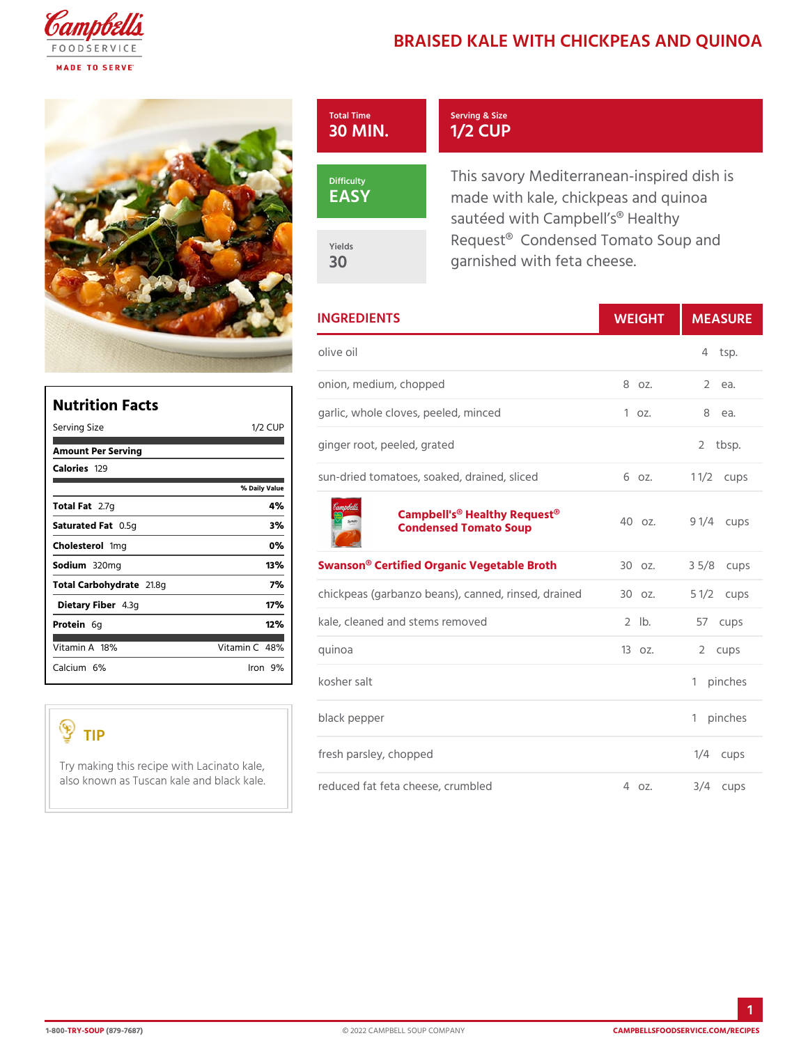## BRAISED KALE WITH CHICKPEAS

| Total Time<br>30 MIN. | Serving & Size<br>1/2 CUP                                                                         |  |
|-----------------------|---------------------------------------------------------------------------------------------------|--|
| Difficulty<br>EASY    | This savory Mediterranean-insp<br>made with kale, chickpeas and<br>sautéed with Campbell s® Healt |  |
| Yields<br>30          | Request® Condensed Tomato S<br>garnished with feta cheese.                                        |  |

|              | <b>INGREDIENTS</b>                                                                         | WEIGH      | MEASU                  |
|--------------|--------------------------------------------------------------------------------------------|------------|------------------------|
|              | olive oil                                                                                  |            | 4 tsp.                 |
|              | onion, medium, chopped                                                                     | 8 oz.      | $\overline{2}$<br>e a. |
| 1/2 C UP     | garlic, whole cloves, peeled, minced1 oz.                                                  |            | e a.<br>8              |
|              | ginger root, peeled, grated                                                                |            | 2 tbsp.                |
| Daily Vallue | sun-dried tomatoes, soaked, drained6 sdzced1 1/2cups                                       |            |                        |
|              | Campbell's <sup>®</sup> Healthy Requast <sup>®</sup> z. 9 1/4cups<br>Condensed Tomato Soup |            |                        |
|              | Swanson® Certified Organic VegetaBlCe oBzr.oth3 5/8cups                                    |            |                        |
|              | chickpeas (garbanzo beans), canned3, Oronzsed5 dlr/actourends                              |            |                        |
|              | kale, cleaned and stems removed                                                            | $2$ $ b$ . | 57 cups                |
|              | quinoa                                                                                     | $130z$ .   | 2 cups                 |
|              | kosher salt                                                                                |            | 1 pinches              |
|              | black pepper                                                                               |            | 1 pinches              |
|              | fresh parsley, chopped<br>with Lacinato kale,                                              |            | $1/4$ cups             |
|              | cale  and <sub>r</sub> &ሀa့Ck イ۹ 역 feta cheese, crumbled 4 oz.                             |            | $3/4$ cups             |

| Nutrition Facts     |                |
|---------------------|----------------|
| Serving Size        | 1/2 CIUP       |
| Amount Per Serving  |                |
| Caloriels29         |                |
|                     | % Daily Vallue |
| Total F2at7g        | 4 %            |
| Saturated 0F.55 tg  | 3%             |
| Choleste fionig     | $0\%$          |
| Sodium320mg         | 13%            |
| Total Carbohy2dfa8g | 7%             |
| Dietary F4ib3eg     | 17%            |
| Protei6g            | 12%            |
| Vitamin1& %         | Vitamin48%     |
| Calciu6m%           | lron 9 %l      |

## TIP

Try making this recipe also known as Tuscan k

1